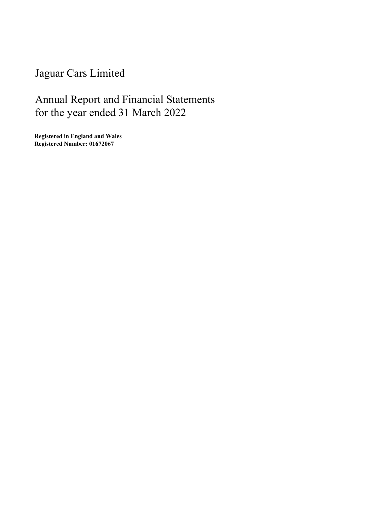Jaguar Cars Limited

# Annual Report and Financial Statements for the year ended 31 March 2022

Registered in England and Wales Registered Number: 01672067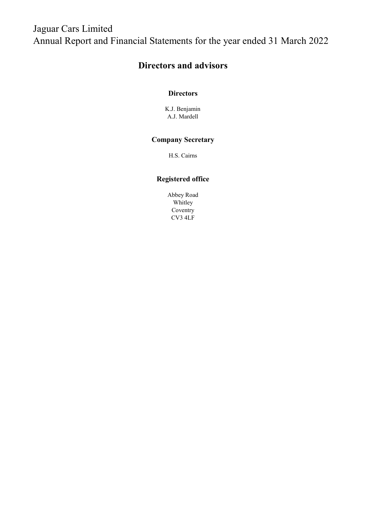## Directors and advisors

## **Directors**

A.J. Mardell K.J. Benjamin

## Company Secretary

H.S. Cairns

## Registered office

Abbey Road Whitley Coventry CV3 4LF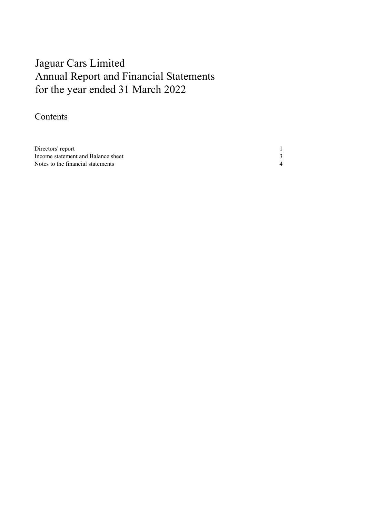# Annual Report and Financial Statements for the year ended 31 March 2022 Jaguar Cars Limited

## Contents

| Directors' report                  |  |
|------------------------------------|--|
| Income statement and Balance sheet |  |
| Notes to the financial statements  |  |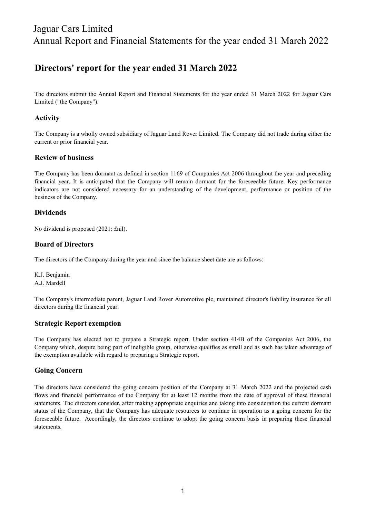## Directors' report for the year ended 31 March 2022

The directors submit the Annual Report and Financial Statements for the year ended 31 March 2022 for Jaguar Cars Limited ("the Company").

## Activity

The Company is a wholly owned subsidiary of Jaguar Land Rover Limited. The Company did not trade during either the current or prior financial year.

## Review of business

The Company has been dormant as defined in section 1169 of Companies Act 2006 throughout the year and preceding financial year. It is anticipated that the Company will remain dormant for the foreseeable future. Key performance indicators are not considered necessary for an understanding of the development, performance or position of the business of the Company.

## Dividends

No dividend is proposed (2021: £nil).

## Board of Directors

The directors of the Company during the year and since the balance sheet date are as follows:

K.J. Benjamin A.J. Mardell

The Company's intermediate parent, Jaguar Land Rover Automotive plc, maintained director's liability insurance for all directors during the financial year.

## Strategic Report exemption

The Company has elected not to prepare a Strategic report. Under section 414B of the Companies Act 2006, the Company which, despite being part of ineligible group, otherwise qualifies as small and as such has taken advantage of the exemption available with regard to preparing a Strategic report.

## Going Concern

The directors have considered the going concern position of the Company at 31 March 2022 and the projected cash flows and financial performance of the Company for at least 12 months from the date of approval of these financial statements. The directors consider, after making appropriate enquiries and taking into consideration the current dormant status of the Company, that the Company has adequate resources to continue in operation as a going concern for the foreseeable future. Accordingly, the directors continue to adopt the going concern basis in preparing these financial statements.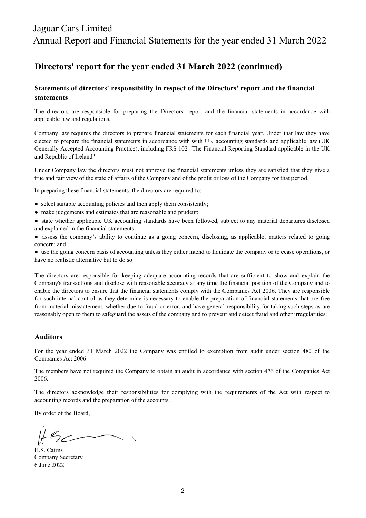## Directors' report for the year ended 31 March 2022 (continued)

## Statements of directors' responsibility in respect of the Directors' report and the financial statements

The directors are responsible for preparing the Directors' report and the financial statements in accordance with applicable law and regulations.

Company law requires the directors to prepare financial statements for each financial year. Under that law they have elected to prepare the financial statements in accordance with with UK accounting standards and applicable law (UK Generally Accepted Accounting Practice), including FRS 102 "The Financial Reporting Standard applicable in the UK and Republic of Ireland".

Under Company law the directors must not approve the financial statements unless they are satisfied that they give a true and fair view of the state of affairs of the Company and of the profit or loss of the Company for that period.

In preparing these financial statements, the directors are required to:

- select suitable accounting policies and then apply them consistently;
- make judgements and estimates that are reasonable and prudent;
- state whether applicable UK accounting standards have been followed, subject to any material departures disclosed and explained in the financial statements;
- assess the company's ability to continue as a going concern, disclosing, as applicable, matters related to going concern; and

● use the going concern basis of accounting unless they either intend to liquidate the company or to cease operations, or have no realistic alternative but to do so.

The directors are responsible for keeping adequate accounting records that are sufficient to show and explain the Company's transactions and disclose with reasonable accuracy at any time the financial position of the Company and to enable the directors to ensure that the financial statements comply with the Companies Act 2006. They are responsible for such internal control as they determine is necessary to enable the preparation of financial statements that are free from material misstatement, whether due to fraud or error, and have general responsibility for taking such steps as are reasonably open to them to safeguard the assets of the company and to prevent and detect fraud and other irregularities.

#### Auditors

For the year ended 31 March 2022 the Company was entitled to exemption from audit under section 480 of the Companies Act 2006.

The members have not required the Company to obtain an audit in accordance with section 476 of the Companies Act 2006.

The directors acknowledge their responsibilities for complying with the requirements of the Act with respect to accounting records and the preparation of the accounts.

By order of the Board,

6 June 2022 H.S. Cairns Company Secretary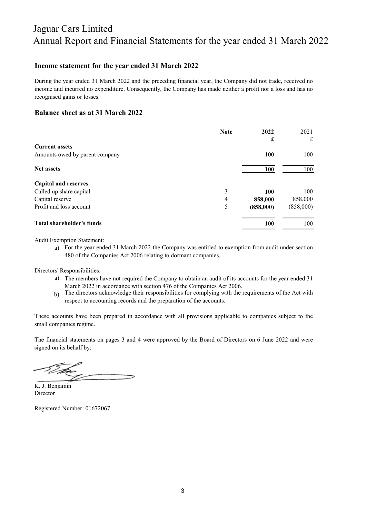### Income statement for the year ended 31 March 2022

During the year ended 31 March 2022 and the preceding financial year, the Company did not trade, received no income and incurred no expenditure. Consequently, the Company has made neither a profit nor a loss and has no recognised gains or losses.

### Balance sheet as at 31 March 2022

|                                | <b>Note</b> | 2022       | 2021        |
|--------------------------------|-------------|------------|-------------|
|                                |             | £          | $\mathbf f$ |
| <b>Current assets</b>          |             |            |             |
| Amounts owed by parent company |             | 100        | 100         |
| <b>Net assets</b>              |             | <b>100</b> | 100         |
| <b>Capital and reserves</b>    |             |            |             |
| Called up share capital        | 3           | 100        | 100         |
| Capital reserve                | 4           | 858,000    | 858,000     |
| Profit and loss account        | 5           | (858,000)  | (858,000)   |
| Total shareholder's funds      |             | <b>100</b> | 100         |

Audit Exemption Statement:

a) For the year ended 31 March 2022 the Company was entitled to exemption from audit under section 480 of the Companies Act 2006 relating to dormant companies.

Directors' Responsibilities:

- a) The members have not required the Company to obtain an audit of its accounts for the year ended 31 March 2022 in accordance with section 476 of the Companies Act 2006.
- b) The directors acknowledge their responsibilities for complying with the requirements of the Act with respect to accounting records and the preparation of the accounts.

These accounts have been prepared in accordance with all provisions applicable to companies subject to the small companies regime.

The financial statements on pages 3 and 4 were approved by the Board of Directors on 6 June 2022 and were signed on its behalf by:

Director K. J. Benjamin

Registered Number: 01672067